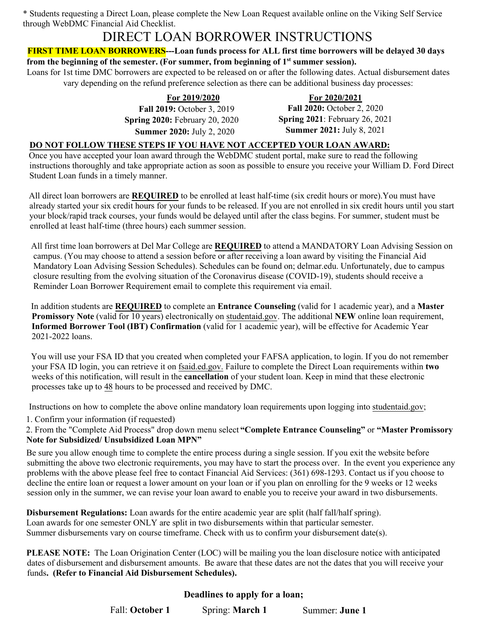\* Students requesting a Direct Loan, please complete the New Loan Request available online on the Viking Self Service through WebDMC Financial Aid Checklist.

## DIRECT LOAN BORROWER INSTRUCTIONS

#### **FIRST TIME LOAN BORROWERS---Loan funds process for ALL first time borrowers will be delayed 30 days from the beginning of the semester. (For summer, from beginning of 1st summer session).**

Loans for 1st time DMC borrowers are expected to be released on or after the following dates. Actual disbursement dates vary depending on the refund preference selection as there can be additional business day processes:

> **For 2019/2020 Fall 2019:** October 3, 2019 **Spring 2020:** February 20, 2020 **Summer 2020:** July 2, 2020

**For 2020/2021 Fall 2020:** October 2, 2020 **Spring 2021**: February 26, 2021 **Summer 2021:** July 8, 2021

### **DO NOT FOLLOW THESE STEPS IF YOU HAVE NOT ACCEPTED YOUR LOAN AWARD:**

Once you have accepted your loan award through the WebDMC student portal, make sure to read the following instructions thoroughly and take appropriate action as soon as possible to ensure you receive your William D. Ford Direct Student Loan funds in a timely manner.

All direct loan borrowers are **REQUIRED** to be enrolled at least half-time (six credit hours or more).You must have already started your six credit hours for your funds to be released. If you are not enrolled in six credit hours until you start your block/rapid track courses, your funds would be delayed until after the class begins. For summer, student must be enrolled at least half-time (three hours) each summer session.

All first time loan borrowers at Del Mar College are **REQUIRED** to attend a MANDATORY Loan Advising Session on campus. (You may choose to attend a session before or after receiving a loan award by visiting the Financial Aid Mandatory Loan Advising Session Schedules). Schedules can be found on; delmar.edu. Unfortunately, due to campus closure resulting from the evolving situation of the Coronavirus disease (COVID-19), students should receive a Reminder Loan Borrower Requirement email to complete this requirement via email.

In addition students are **REQUIRED** to complete an **Entrance Counseling** (valid for 1 academic year), and a **Master Promissory Note** (valid for 10 years) electronically on studentaid.gov. The additional **NEW** online loan requirement, **Informed Borrower Tool (IBT) Confirmation** (valid for 1 academic year), will be effective for Academic Year 2021-2022 loans.

You will use your FSA ID that you created when completed your FAFSA application, to login. If you do not remember your FSA ID login, you can retrieve it on fsaid.ed.gov. Failure to complete the Direct Loan requirements within **two** weeks of this notification, will result in the **cancellation** of your student loan. Keep in mind that these electronic processes take up to 48 hours to be processed and received by DMC.

Instructions on how to complete the above online mandatory loan requirements upon logging into studentaid.gov;

1. Confirm your information (if requested)

2. From the "Complete Aid Process" drop down menu select **"Complete Entrance Counseling"** or **"Master Promissory Note for Subsidized/ Unsubsidized Loan MPN"**

Be sure you allow enough time to complete the entire process during a single session. If you exit the website before submitting the above two electronic requirements, you may have to start the process over. In the event you experience any problems with the above please feel free to contact Financial Aid Services: (361) 698-1293. Contact us if you choose to decline the entire loan or request a lower amount on your loan or if you plan on enrolling for the 9 weeks or 12 weeks session only in the summer, we can revise your loan award to enable you to receive your award in two disbursements.

**Disbursement Regulations:** Loan awards for the entire academic year are split (half fall/half spring). Loan awards for one semester ONLY are split in two disbursements within that particular semester. Summer disbursements vary on course timeframe. Check with us to confirm your disbursement date(s).

**PLEASE NOTE:** The Loan Origination Center (LOC) will be mailing you the loan disclosure notice with anticipated dates of disbursement and disbursement amounts. Be aware that these dates are not the dates that you will receive your funds**. (Refer to Financial Aid Disbursement Schedules).**

## **Deadlines to apply for a loan;**

Fall: **October 1** Spring: **March 1** Summer: **June 1**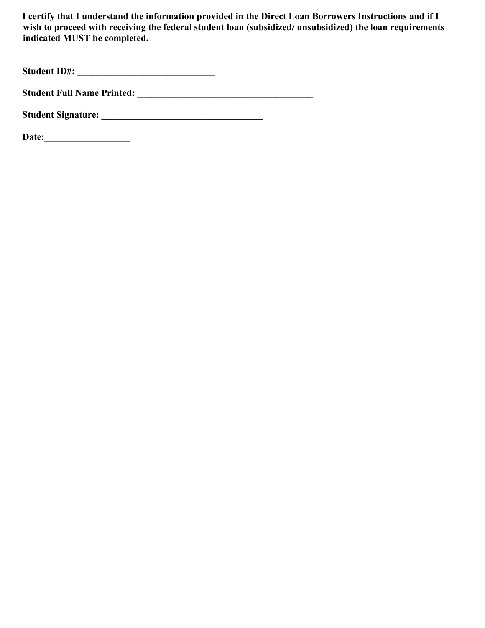**I certify that I understand the information provided in the Direct Loan Borrowers Instructions and if I**  wish to proceed with receiving the federal student loan (subsidized/ unsubsidized) the loan requirements **indicated MUST be completed.** 

**Student ID#: \_\_\_\_\_\_\_\_\_\_\_\_\_\_\_\_\_\_\_\_\_\_\_\_\_\_\_\_\_** 

**Student Full Name Printed: \_\_\_\_\_\_\_\_\_\_\_\_\_\_\_\_\_\_\_\_\_\_\_\_\_\_\_\_\_\_\_\_\_\_\_\_\_** 

**Student Signature: \_\_\_\_\_\_\_\_\_\_\_\_\_\_\_\_\_\_\_\_\_\_\_\_\_\_\_\_\_\_\_\_\_\_** 

**Date:\_\_\_\_\_\_\_\_\_\_\_\_\_\_\_\_\_\_**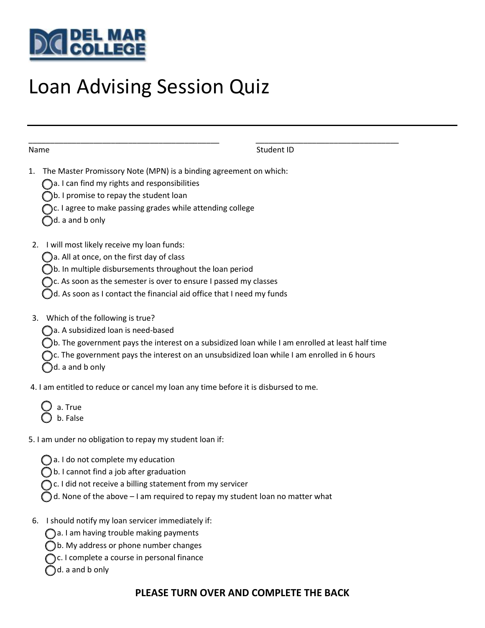

# Loan Advising Session Quiz

| Name                                                                                                                                                                                                                                                                                                    | Student ID                                                                                                                                                                                    |
|---------------------------------------------------------------------------------------------------------------------------------------------------------------------------------------------------------------------------------------------------------------------------------------------------------|-----------------------------------------------------------------------------------------------------------------------------------------------------------------------------------------------|
| The Master Promissory Note (MPN) is a binding agreement on which:<br>1.<br>)a. I can find my rights and responsibilities<br>b. I promise to repay the student loan<br>C. I agree to make passing grades while attending college<br>d. a and b only                                                      |                                                                                                                                                                                               |
| I will most likely receive my loan funds:<br>2.<br>)a. All at once, on the first day of class<br>)b. In multiple disbursements throughout the loan period<br>)c. As soon as the semester is over to ensure I passed my classes<br>d. As soon as I contact the financial aid office that I need my funds |                                                                                                                                                                                               |
| Which of the following is true?<br>3.<br>a. A subsidized loan is need-based<br>d. a and b only                                                                                                                                                                                                          | b. The government pays the interest on a subsidized loan while I am enrolled at least half time<br>c. The government pays the interest on an unsubsidized loan while I am enrolled in 6 hours |
| 4. I am entitled to reduce or cancel my loan any time before it is disbursed to me.                                                                                                                                                                                                                     |                                                                                                                                                                                               |

a. True b. False

5. I am under no obligation to repay my student loan if:

⃝ a. I do not complete my education

⃝ b. I cannot find a job after graduation

◯ c. I did not receive a billing statement from my servicer

 $\bigcirc$  d. None of the above – I am required to repay my student loan no matter what

6. I should notify my loan servicer immediately if:

⃝ a. I am having trouble making payments

⃝ b. My address or phone number changes

◯ c. I complete a course in personal finance

d. a and b only

## **PLEASE TURN OVER AND COMPLETE THE BACK**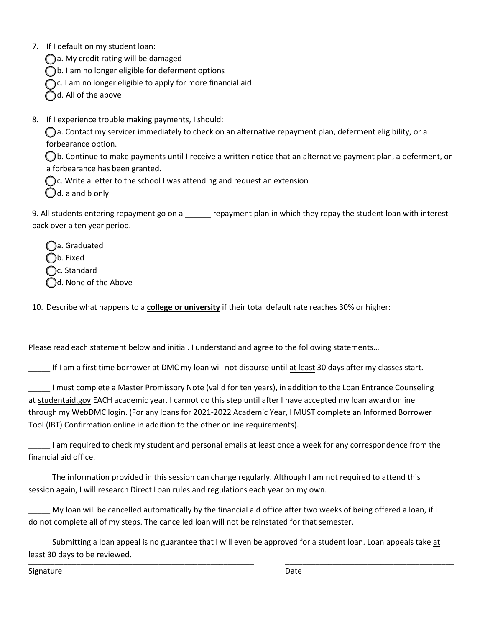7. If I default on my student loan:

 $\bigcap$  a. My credit rating will be damaged

◯b. I am no longer eligible for deferment options

C. I am no longer eligible to apply for more financial aid

 $\bigcap$ d. All of the above

8. If I experience trouble making payments, I should:

 $\bigcap$ a. Contact my servicer immediately to check on an alternative repayment plan, deferment eligibility, or a forbearance option.

⃝ b. Continue to make payments until I receive a written notice that an alternative payment plan, a deferment, or a forbearance has been granted.

 $\bigcap$ c. Write a letter to the school I was attending and request an extension

 $\bigcirc$ d. a and b only

9. All students entering repayment go on a \_\_\_\_\_\_ repayment plan in which they repay the student loan with interest back over a ten year period.

 $\bigcap$ a. Graduated  $\bigcirc$ b. Fixed C. Standard d. None of the Above

10. Describe what happens to a **college or university** if their total default rate reaches 30% or higher:

Please read each statement below and initial. I understand and agree to the following statements…

\_\_\_\_\_ If I am a first time borrower at DMC my loan will not disburse until at least 30 days after my classes start.

\_\_\_\_\_ I must complete a Master Promissory Note (valid for ten years), in addition to the Loan Entrance Counseling at studentaid.gov EACH academic year. I cannot do this step until after I have accepted my loan award online through my WebDMC login. (For any loans for 2021-2022 Academic Year, I MUST complete an Informed Borrower Tool (IBT) Confirmation online in addition to the other online requirements).

\_\_\_\_\_ I am required to check my student and personal emails at least once a week for any correspondence from the financial aid office.

\_\_\_\_\_ The information provided in this session can change regularly. Although I am not required to attend this session again, I will research Direct Loan rules and regulations each year on my own.

My loan will be cancelled automatically by the financial aid office after two weeks of being offered a loan, if I do not complete all of my steps. The cancelled loan will not be reinstated for that semester.

Submitting a loan appeal is no guarantee that I will even be approved for a student loan. Loan appeals take at least 30 days to be reviewed. \_\_\_\_\_\_\_\_\_\_\_\_\_\_\_\_\_\_\_\_\_\_\_\_\_\_\_\_\_\_\_\_\_\_\_\_\_\_\_\_\_\_\_\_\_\_\_\_\_\_\_\_ \_\_\_\_\_\_\_\_\_\_\_\_\_\_\_\_\_\_\_\_\_\_\_\_\_\_\_\_\_\_\_\_\_\_\_\_\_\_\_

Signature Date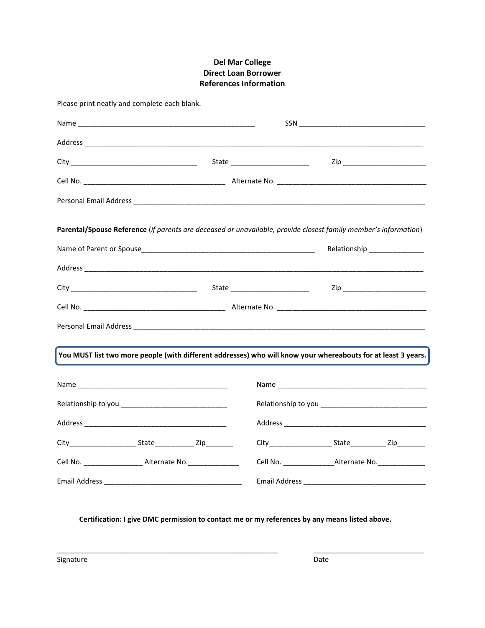### **Del Mar College Direct Loan Borrower References Information**

| Please print neatly and complete each blank.                                                                    |  |                                                                                  |                                 |  |  |  |
|-----------------------------------------------------------------------------------------------------------------|--|----------------------------------------------------------------------------------|---------------------------------|--|--|--|
|                                                                                                                 |  |                                                                                  |                                 |  |  |  |
|                                                                                                                 |  |                                                                                  |                                 |  |  |  |
|                                                                                                                 |  |                                                                                  | Zip _________________________   |  |  |  |
|                                                                                                                 |  |                                                                                  |                                 |  |  |  |
|                                                                                                                 |  |                                                                                  |                                 |  |  |  |
| Parental/Spouse Reference (if parents are deceased or unavailable, provide closest family member's information) |  |                                                                                  |                                 |  |  |  |
|                                                                                                                 |  |                                                                                  | Relationship ______________     |  |  |  |
|                                                                                                                 |  |                                                                                  |                                 |  |  |  |
|                                                                                                                 |  |                                                                                  | Zip ___________________________ |  |  |  |
|                                                                                                                 |  |                                                                                  |                                 |  |  |  |
|                                                                                                                 |  |                                                                                  |                                 |  |  |  |
| You MUST list two more people (with different addresses) who will know your whereabouts for at least 3 years.   |  |                                                                                  |                                 |  |  |  |
|                                                                                                                 |  |                                                                                  |                                 |  |  |  |
|                                                                                                                 |  |                                                                                  |                                 |  |  |  |
|                                                                                                                 |  |                                                                                  |                                 |  |  |  |
|                                                                                                                 |  |                                                                                  |                                 |  |  |  |
| Cell No. _________________________ Alternate No. _______________________________                                |  | Cell No. ________________________Alternate No. _________________________________ |                                 |  |  |  |
|                                                                                                                 |  |                                                                                  |                                 |  |  |  |

#### **Certification: I give DMC permission to contact me or my references by any means listed above.**

\_\_\_\_\_\_\_\_\_\_\_\_\_\_\_\_\_\_\_\_\_\_\_\_\_\_\_\_\_\_\_\_\_\_\_\_\_\_\_\_\_\_\_\_\_\_\_\_\_\_\_\_\_\_\_\_ \_\_\_\_\_\_\_\_\_\_\_\_\_\_\_\_\_\_\_\_\_\_\_\_\_\_\_\_